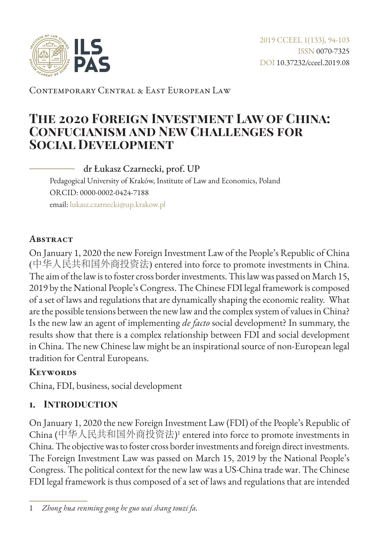

Contemporary Central & East European Law

# **The 2020 Foreign Investment Law of China: Confucianism and New Challenges for Social Development**

dr Łukasz Czarnecki, prof. UP Pedagogical University of Kraków, Institute of Law and Economics, Poland ORCID: 0000-0002-0424-7188 email: [lukasz.czarnecki@up.krakow.pl](mailto:lukasz.czarnecki%40up.krakow.pl?subject=)

### **Abstract**

On January 1, 2020 the new Foreign Investment Law of the People's Republic of China (中华人民共和国外商投资法) entered into force to promote investments in China. The aim of the law is to foster cross border investments. This law was passed on March 15, 2019 by the National People's Congress. The Chinese FDI legal framework is composed of a set of laws and regulations that are dynamically shaping the economic reality. What are the possible tensions between the new law and the complex system of values in China? Is the new law an agent of implementing *de facto* social development? In summary, the results show that there is a complex relationship between FDI and social development in China. The new Chinese law might be an inspirational source of non-European legal tradition for Central Europeans.

#### **Keywords**

China, FDI, business, social development

# **1. Introduction**

On January 1, 2020 the new Foreign Investment Law (FDI) of the People's Republic of China (中华人民共和国外商投资法) 1 entered into force to promote investments in China. The objective was to foster cross border investments and foreign direct investments. The Foreign Investment Law was passed on March 15, 2019 by the National People's Congress. The political context for the new law was a US-China trade war. The Chinese FDI legal framework is thus composed of a set of laws and regulations that are intended

<sup>1</sup> *Zhong hua renming gong he guo wai shang touzi fa.*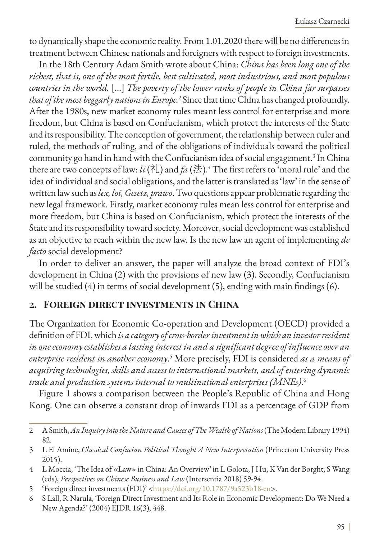to dynamically shape the economic reality. From 1.01.2020 there will be no differences in treatment between Chinese nationals and foreigners with respect to foreign investments.

In the 18th Century Adam Smith wrote about China: *China has been long one of the richest, that is, one of the most fertile, best cultivated, most industrious, and most populous countries in the world.* […] *The poverty of the lower ranks of people in China far surpasses that of the most beggarly nations in Europe.*<sup>2</sup> Since that time China has changed profoundly. After the 1980s, new market economy rules meant less control for enterprise and more freedom, but China is based on Confucianism, which protect the interests of the State and its responsibility. The conception of government, the relationship between ruler and ruled, the methods of ruling, and of the obligations of individuals toward the political community go hand in hand with the Confucianism idea of social engagement.<sup>3</sup> In China there are two concepts of law: *li* (礼) and *fa* (法). 4 The first refers to 'moral rule' and the idea of individual and social obligations, and the latter is translated as 'law' in the sense of written law such as *lex, loi, Gesetz, prawo*. Two questions appear problematic regarding the new legal framework. Firstly, market economy rules mean less control for enterprise and more freedom, but China is based on Confucianism, which protect the interests of the State and its responsibility toward society. Moreover, social development was established as an objective to reach within the new law. Is the new law an agent of implementing *de facto* social development?

In order to deliver an answer, the paper will analyze the broad context of FDI's development in China (2) with the provisions of new law (3). Secondly, Confucianism will be studied (4) in terms of social development (5), ending with main findings (6).

#### **2. Foreign direct investments in China**

The Organization for Economic Co-operation and Development (OECD) provided a definition of FDI, which *is a category of cross-border investment in which an investor resident in one economy establishes a lasting interest in and a significant degree of influence over an*  enterprise resident in another economy.<sup>5</sup> More precisely, FDI is considered as a means of *acquiring technologies, skills and access to international markets, and of entering dynamic trade and production systems internal to multinational enterprises (MNEs)*. 6

Figure 1 shows a comparison between the People's Republic of China and Hong Kong. One can observe a constant drop of inwards FDI as a percentage of GDP from

<sup>2</sup> A Smith, *An Inquiry into the Nature and Causes of The Wealth of Nations* (The Modern Library 1994) 82.

<sup>3</sup> L El Amine, *Classical Confucian Political Thought A New Interpretation* (Princeton University Press 2015).

<sup>4</sup> L Moccia, 'The Idea of «Law» in China: An Overview' in L Golota, J Hu, K Van der Borght, S Wang (eds), *Perspectives on Chinese Business and Law* (Intersentia 2018) 59-94.

<sup>5</sup> 'Foreign direct investments (FDI)' <<https://doi.org/10.1787/9a523b18-en>>.

<sup>6</sup> S Lall, R Narula, 'Foreign Direct Investment and Its Role in Economic Development: Do We Need a New Agenda?' (2004) EJDR 16(3), 448.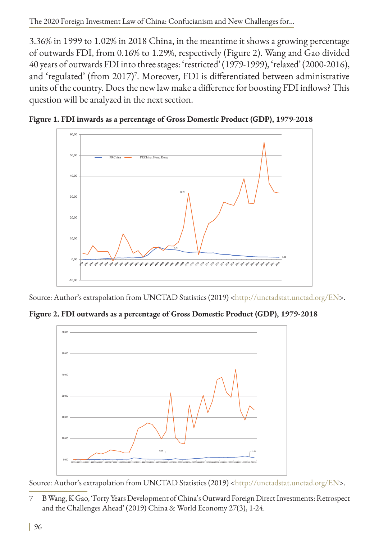3.36% in 1999 to 1.02% in 2018 China, in the meantime it shows a growing percentage of outwards FDI, from 0.16% to 1.29%, respectively (Figure 2). Wang and Gao divided 40 years of outwards FDI into three stages: 'restricted' (1979-1999), 'relaxed' (2000-2016), and 'regulated' (from 2017)<sup>7</sup>. Moreover, FDI is differentiated between administrative units of the country. Does the new law make a difference for boosting FDI inflows? This question will be analyzed in the next section.





Source: Author's extrapolation from UNCTAD Statistics (2019) [<http://unctadstat.unctad.org/EN](http://unctadstat.unctad.org/EN)>.

**Figure 2. FDI outwards as a percentage of Gross Domestic Product (GDP), 1979-2018**



Source: Author's extrapolation from UNCTAD Statistics (2019) [<http://unctadstat.unctad.org/EN](http://unctadstat.unctad.org/EN)>.

7 B Wang, K Gao, 'Forty Years Development of China's Outward Foreign Direct Investments: Retrospect and the Challenges Ahead' (2019) China & World Economy 27(3), 1-24.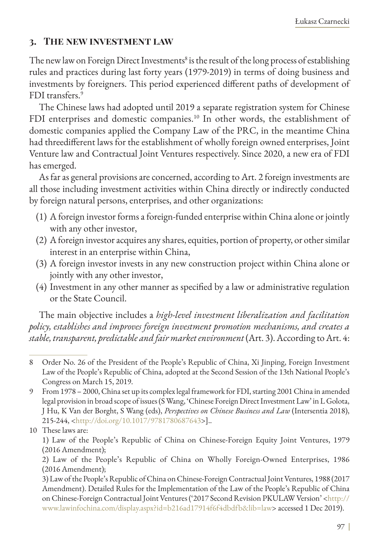### **3. The new investment law**

The new law on Foreign Direct Investments $^{\rm 8}$  is the result of the long process of establishing rules and practices during last forty years (1979-2019) in terms of doing business and investments by foreigners. This period experienced different paths of development of FDI transfers.<sup>9</sup>

The Chinese laws had adopted until 2019 a separate registration system for Chinese FDI enterprises and domestic companies.<sup>10</sup> In other words, the establishment of domestic companies applied the Company Law of the PRC, in the meantime China had threedifferent laws for the establishment of wholly foreign owned enterprises, Joint Venture law and Contractual Joint Ventures respectively. Since 2020, a new era of FDI has emerged.

As far as general provisions are concerned, according to Art. 2 foreign investments are all those including investment activities within China directly or indirectly conducted by foreign natural persons, enterprises, and other organizations:

- (1) A foreign investor forms a foreign-funded enterprise within China alone or jointly with any other investor,
- (2) A foreign investor acquires any shares, equities, portion of property, or other similar interest in an enterprise within China,
- (3) A foreign investor invests in any new construction project within China alone or jointly with any other investor,
- (4) Investment in any other manner as specified by a law or administrative regulation or the State Council.

The main objective includes a *high-level investment liberalization and facilitation policy, establishes and improves foreign investment promotion mechanisms, and creates a stable, transparent, predictable and fair market environment* (Art. 3). According to Art. 4:

<sup>8</sup> Order No. 26 of the President of the People's Republic of China, Xi Jinping, Foreign Investment Law of the People's Republic of China, adopted at the Second Session of the 13th National People's Congress on March 15, 2019.

<sup>9</sup> From 1978 – 2000, China set up its complex legal framework for FDI, starting 2001 China in amended legal provision in broad scope of issues (S Wang, 'Chinese Foreign Direct Investment Law' in L Golota, J Hu, K Van der Borght, S Wang (eds), *Perspectives on Chinese Business and Law* (Intersentia 2018), 215-244, [<http://doi.org/10.1017/9781780687643](http://doi.org/10.1017/9781780687643)>]..

<sup>10</sup> These laws are:

<sup>1)</sup> Law of the People's Republic of China on Chinese-Foreign Equity Joint Ventures, 1979 (2016 Amendment);

<sup>2)</sup> Law of the People's Republic of China on Wholly Foreign-Owned Enterprises, 1986 (2016 Amendment);

<sup>3)</sup> Law of the People's Republic of China on Chinese-Foreign Contractual Joint Ventures, 1988 (2017 Amendment). Detailed Rules for the Implementation of the Law of the People's Republic of China on Chinese-Foreign Contractual Joint Ventures ('2017 Second Revision PKULAW Version' <[http://](http://www.lawinfochina.com/display.aspx?id=b216ad17914f6f4dbdfb&lib=law) [www.lawinfochina.com/display.aspx?id=b216ad17914f6f4dbdfb&lib=law>](http://www.lawinfochina.com/display.aspx?id=b216ad17914f6f4dbdfb&lib=law) accessed 1 Dec 2019).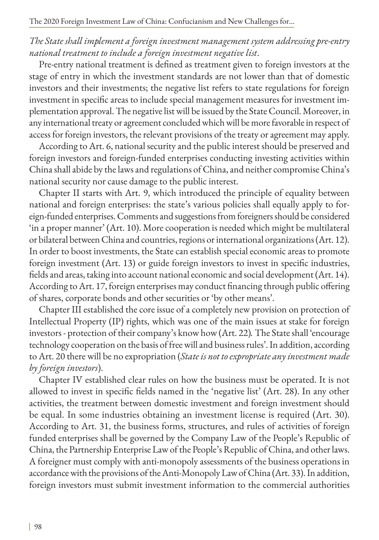# *The State shall implement a foreign investment management system addressing pre-entry national treatment to include a foreign investment negative list*.

Pre-entry national treatment is defined as treatment given to foreign investors at the stage of entry in which the investment standards are not lower than that of domestic investors and their investments; the negative list refers to state regulations for foreign investment in specific areas to include special management measures for investment implementation approval. The negative list will be issued by the State Council. Moreover, in any international treaty or agreement concluded which will be more favorable in respect of access for foreign investors, the relevant provisions of the treaty or agreement may apply.

According to Art. 6, national security and the public interest should be preserved and foreign investors and foreign-funded enterprises conducting investing activities within China shall abide by the laws and regulations of China, and neither compromise China's national security nor cause damage to the public interest.

Chapter II starts with Art. 9, which introduced the principle of equality between national and foreign enterprises: the state's various policies shall equally apply to foreign-funded enterprises. Comments and suggestions from foreigners should be considered 'in a proper manner' (Art. 10). More cooperation is needed which might be multilateral or bilateral between China and countries, regions or international organizations (Art. 12). In order to boost investments, the State can establish special economic areas to promote foreign investment (Art. 13) or guide foreign investors to invest in specific industries, fields and areas, taking into account national economic and social development (Art. 14). According to Art. 17, foreign enterprises may conduct financing through public offering of shares, corporate bonds and other securities or 'by other means'.

Chapter III established the core issue of a completely new provision on protection of Intellectual Property (IP) rights, which was one of the main issues at stake for foreign investors - protection of their company's know how (Art. 22)*.* The State shall 'encourage technology cooperation on the basis of free will and business rules'. In addition, according to Art. 20 there will be no expropriation (*State is not to expropriate any investment made by foreign investors*).

Chapter IV established clear rules on how the business must be operated. It is not allowed to invest in specific fields named in the 'negative list' (Art. 28). In any other activities, the treatment between domestic investment and foreign investment should be equal. In some industries obtaining an investment license is required (Art. 30). According to Art. 31, the business forms, structures, and rules of activities of foreign funded enterprises shall be governed by the Company Law of the People's Republic of China, the Partnership Enterprise Law of the People's Republic of China, and other laws. A foreigner must comply with anti-monopoly assessments of the business operations in accordance with the provisions of the Anti-Monopoly Law of China (Art. 33). In addition, foreign investors must submit investment information to the commercial authorities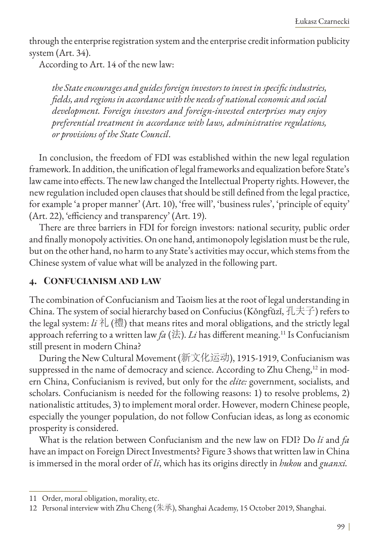through the enterprise registration system and the enterprise credit information publicity system (Art. 34).

According to Art. 14 of the new law:

*the State encourages and guides foreign investors to invest in specific industries, fields, and regions in accordance with the needs of national economic and social development. Foreign investors and foreign-invested enterprises may enjoy preferential treatment in accordance with laws, administrative regulations, or provisions of the State Council*.

In conclusion, the freedom of FDI was established within the new legal regulation framework. In addition, the unification of legal frameworks and equalization before State's law came into effects. The new law changed the Intellectual Property rights. However, the new regulation included open clauses that should be still defined from the legal practice, for example 'a proper manner' (Art. 10), 'free will', 'business rules', 'principle of equity' (Art. 22), 'efficiency and transparency' (Art. 19).

There are three barriers in FDI for foreign investors: national security, public order and finally monopoly activities. On one hand, antimonopoly legislation must be the rule, but on the other hand, no harm to any State's activities may occur, which stems from the Chinese system of value what will be analyzed in the following part.

#### **4. Confucianism and law**

The combination of Confucianism and Taoism lies at the root of legal understanding in China. The system of social hierarchy based on Confucius (Kǒngfūzǐ, 孔夫子) refers to the legal system: *li* 礼 (禮) that means rites and moral obligations, and the strictly legal approach referring to a written law  $fa$  (法). *Li* has different meaning.<sup>11</sup> Is Confucianism still present in modern China?

During the New Cultural Movement (新文化运动), 1915-1919, Confucianism was suppressed in the name of democracy and science. According to Zhu Cheng,<sup>12</sup> in modern China, Confucianism is revived, but only for the *elite:* government, socialists, and scholars. Confucianism is needed for the following reasons: 1) to resolve problems, 2) nationalistic attitudes, 3) to implement moral order. However, modern Chinese people, especially the younger population, do not follow Confucian ideas, as long as economic prosperity is considered.

What is the relation between Confucianism and the new law on FDI? Do *li* and *fa* have an impact on Foreign Direct Investments? Figure 3 shows that written law in China is immersed in the moral order of *li*, which has its origins directly in *hukou* and *guanxi.*

<sup>11</sup> Order, moral obligation, morality, etc.

<sup>12</sup> Personal interview with Zhu Cheng (朱承), Shanghai Academy, 15 October 2019, Shanghai.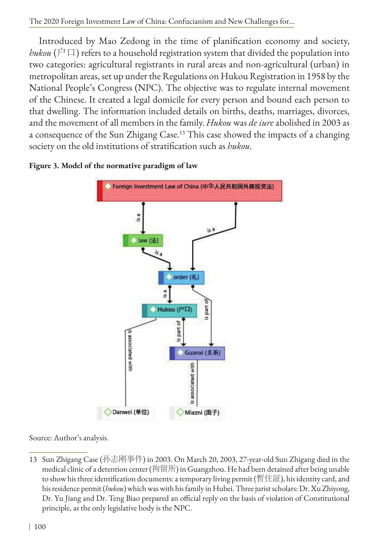The 2020 Foreign Investment Law of China: Confucianism and New Challenges for...

Introduced by Mao Zedong in the time of planification economy and society, *hukou* ( $\hat{P}(\Box)$ ) refers to a household registration system that divided the population into two categories: agricultural registrants in rural areas and non-agricultural (urban) in metropolitan areas, set up under the Regulations on Hukou Registration in 1958 by the National People's Congress (NPC). The objective was to regulate internal movement of the Chinese. It created a legal domicile for every person and bound each person to that dwelling. The information included details on births, deaths, marriages, divorces, and the movement of all members in the family. *Hukou* was *de iure* abolished in 2003 as a consequence of the Sun Zhigang Case.13 This case showed the impacts of a changing society on the old institutions of stratification such as *hukou.*



#### **Figure 3. Model of the normative paradigm of law**

Source: Author's analysis.

13 Sun Zhigang Case (孙志刚事件) in 2003. On March 20, 2003, 27-year-old Sun Zhigang died in the medical clinic of a detention center (拘留所) in Guangzhou. He had been detained after being unable to show his three identification documents: a temporary living permit (暫住証), his identity card, and his residence permit (*hukou*) which was with his family in Hubei. Three jurist scholars: Dr. Xu Zhiyong, Dr. Yu Jiang and Dr. Teng Biao prepared an official reply on the basis of violation of Constitutional principle, as the only legislative body is the NPC.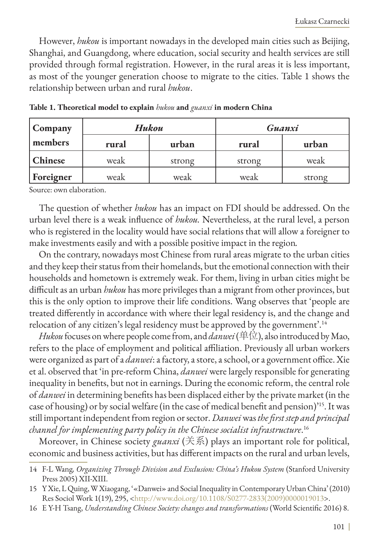However, *hukou* is important nowadays in the developed main cities such as Beijing, Shanghai, and Guangdong, where education, social security and health services are still provided through formal registration. However, in the rural areas it is less important, as most of the younger generation choose to migrate to the cities. Table 1 shows the relationship between urban and rural *hukou*.

| Company   | Hukou |        | Guanxi |        |
|-----------|-------|--------|--------|--------|
| members   | rural | urban  | rural  | urban  |
| Chinese   | weak  | strong | strong | weak   |
| Foreigner | weak  | weak   | weak   | strong |

**Table 1. Theoretical model to explain** *hukou* **and** *guanxi* **in modern China**

Source: own elaboration.

The question of whether *hukou* has an impact on FDI should be addressed. On the urban level there is a weak influence of *hukou.* Nevertheless, at the rural level, a person who is registered in the locality would have social relations that will allow a foreigner to make investments easily and with a possible positive impact in the region*.*

On the contrary, nowadays most Chinese from rural areas migrate to the urban cities and they keep their status from their homelands, but the emotional connection with their households and hometown is extremely weak. For them, living in urban cities might be difficult as an urban *hukou* has more privileges than a migrant from other provinces, but this is the only option to improve their life conditions. Wang observes that 'people are treated differently in accordance with where their legal residency is, and the change and relocation of any citizen's legal residency must be approved by the government'.<sup>14</sup>

*Hukou* focuses on where people come from, and *danwei* (单位), also introduced by Mao, refers to the place of employment and political affiliation. Previously all urban workers were organized as part of a *danwei*: a factory, a store, a school, or a government office. Xie et al. observed that 'in pre-reform China, *danwei* were largely responsible for generating inequality in benefits, but not in earnings. During the economic reform, the central role of *danwei* in determining benefits has been displaced either by the private market (in the case of housing) or by social welfare (in the case of medical benefit and pension)'15. It was still important independent from region or sector. *Danwei* was *the first step and principal channel for implementing party policy in the Chinese socialist infrastructure*. 16

Moreover, in Chinese society *guanxi* (关系) plays an important role for political, economic and business activities, but has different impacts on the rural and urban levels,

<sup>14</sup> F-L Wang, Organizing Through Division and Exclusion: China's Hukou System (Stanford University Press 2005) XII-XIII.

<sup>15</sup> Y Xie, L Quing, W Xiaogang, '«Danwei» and Social Inequality in Contemporary Urban China' (2010) Res Sociol Work 1(19), 295, [<http://www.doi.org/10.1108/S0277-2833\(2009\)0000019013](http://www.doi.org/10.1108/S0277-2833(2009)0000019013)>.

<sup>16</sup> E Y-H Tsang, *Understanding Chinese Society: changes and transformations* (World Scientific 2016) 8.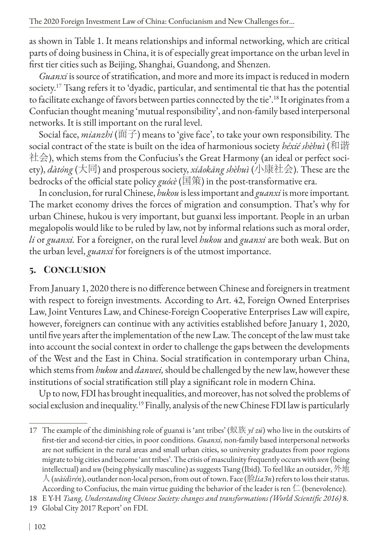as shown in Table 1. It means relationships and informal networking, which are critical parts of doing business in China, it is of especially great importance on the urban level in first tier cities such as Beijing, Shanghai, Guandong, and Shenzen.

*Guanxi* is source of stratification, and more and more its impact is reduced in modern society.<sup>17</sup> Tsang refers it to 'dyadic, particular, and sentimental tie that has the potential to facilitate exchange of favors between parties connected by the tie'.18 It originates from a Confucian thought meaning 'mutual responsibility', and non-family based interpersonal networks. It is still important on the rural level.

Social face, *mianzhi* (面子) means to 'give face', to take your own responsibility. The social contract of the state is built on the idea of harmonious society *héxié shèhuì* (和谐 社会), which stems from the Confucius's the Great Harmony (an ideal or perfect society), *dàtóng* (大同) and prosperous society, *xiǎokāng shèhuì* (小康社会). These are the bedrocks of the official state policy *guócè* (国策) in the post-transformative era.

In conclusion, for rural Chinese, *hukou* is less important and *guanxi* is more important*.*  The market economy drives the forces of migration and consumption. That's why for urban Chinese, hukou is very important, but guanxi less important. People in an urban megalopolis would like to be ruled by law, not by informal relations such as moral order, *li* or *guanxi.* For a foreigner, on the rural level *hukou* and *guanxi* are both weak. But on the urban level, *guanxi* for foreigners is of the utmost importance.

# **5. Conclusion**

From January 1, 2020 there is no difference between Chinese and foreigners in treatment with respect to foreign investments. According to Art. 42, Foreign Owned Enterprises Law, Joint Ventures Law, and Chinese-Foreign Cooperative Enterprises Law will expire, however, foreigners can continue with any activities established before January 1, 2020, until five years after the implementation of the new Law. The concept of the law must take into account the social context in order to challenge the gaps between the developments of the West and the East in China. Social stratification in contemporary urban China, which stems from *hukou* and *danwei,* should be challenged by the new law, however these institutions of social stratification still play a significant role in modern China.

Up to now, FDI has brought inequalities, and moreover, has not solved the problems of social exclusion and inequality.<sup>19</sup> Finally, analysis of the new Chinese FDI law is particularly

17 The example of the diminishing role of guanxi is 'ant tribes' (蚁族 *yǐ zú*) who live in the outskirts of first-tier and second-tier cities, in poor conditions. *Guanxi,* non-family based interpersonal networks are not sufficient in the rural areas and small urban cities, so university graduates from poor regions migrate to big cities and become 'ant tribes'. The crisis of masculinity frequently occurs with *wen* (being intellectual) and *wu* (being physically masculine) as suggests Tsang (Ibid). To feel like an outsider, 外地 人 (*wàidìrén*), outlander non-local person, from out of town. Face (脸*lia3n*) refers to loss their status. According to Confucius, the main virtue guiding the behavior of the leader is ren  $\Box$  (benevolence).

18 E Y-H *Tsang, Understanding Chinese Society: changes and transformations (World Scientific 2016)* 8.

19 Global City 2017 Report' on FDI.